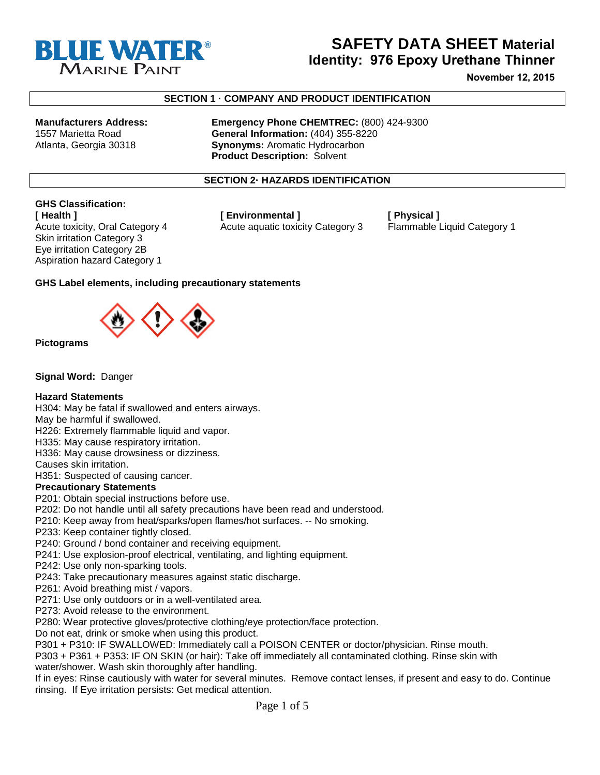

**November 12, 2015**

#### **SECTION 1 · COMPANY AND PRODUCT IDENTIFICATION**

**Manufacturers Address: Emergency Phone CHEMTREC:** (800) 424-9300 1557 Marietta Road **General Information:** (404) 355-8220 **Synonyms: Aromatic Hydrocarbon Product Description:** Solvent

#### **SECTION 2· HAZARDS IDENTIFICATION**

# **GHS Classification:**

Skin irritation Category 3 Eye irritation Category 2B Aspiration hazard Category 1

**[ Health ] [ Environmental ] [ Physical ]**  Acute toxicity, Oral Category 4 Acute aquatic toxicity Category 3 Flammable Liquid Category 1

#### **GHS Label elements, including precautionary statements**



**Pictograms** 

**Signal Word:** Danger

#### **Hazard Statements**

H304: May be fatal if swallowed and enters airways.

May be harmful if swallowed.

H226: Extremely flammable liquid and vapor.

H335: May cause respiratory irritation.

H336: May cause drowsiness or dizziness.

Causes skin irritation.

H351: Suspected of causing cancer.

#### **Precautionary Statements**

P201: Obtain special instructions before use.

P202: Do not handle until all safety precautions have been read and understood.

P210: Keep away from heat/sparks/open flames/hot surfaces. -- No smoking.

P233: Keep container tightly closed.

P240: Ground / bond container and receiving equipment.

- P241: Use explosion-proof electrical, ventilating, and lighting equipment.
- P242: Use only non-sparking tools.
- P243: Take precautionary measures against static discharge.

P261: Avoid breathing mist / vapors.

P271: Use only outdoors or in a well-ventilated area.

P273: Avoid release to the environment.

P280: Wear protective gloves/protective clothing/eye protection/face protection.

Do not eat, drink or smoke when using this product.

P301 + P310: IF SWALLOWED: Immediately call a POISON CENTER or doctor/physician. Rinse mouth.

P303 + P361 + P353: IF ON SKIN (or hair): Take off immediately all contaminated clothing. Rinse skin with water/shower. Wash skin thoroughly after handling.

If in eyes: Rinse cautiously with water for several minutes. Remove contact lenses, if present and easy to do. Continue rinsing. If Eye irritation persists: Get medical attention.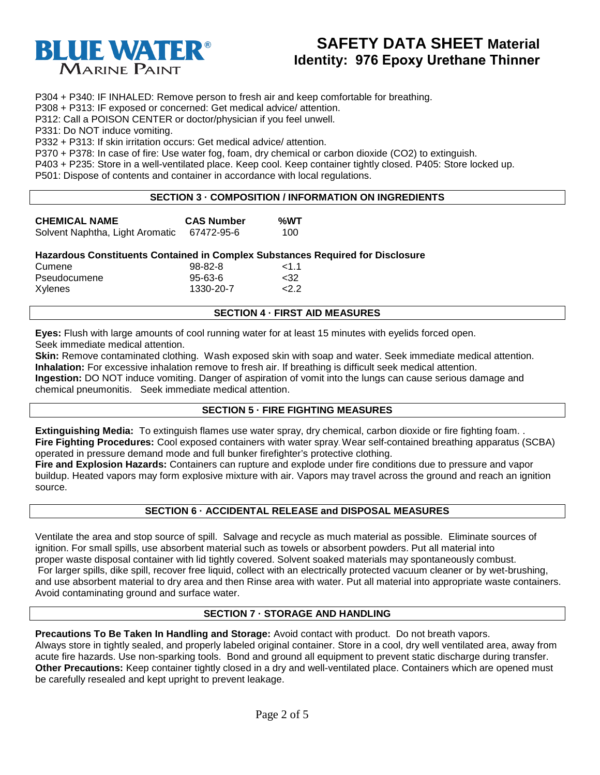

P304 + P340: IF INHALED: Remove person to fresh air and keep comfortable for breathing.

P308 + P313: IF exposed or concerned: Get medical advice/ attention.

P312: Call a POISON CENTER or doctor/physician if you feel unwell.

P331: Do NOT induce vomiting.

P332 + P313: If skin irritation occurs: Get medical advice/ attention.

P370 + P378: In case of fire: Use water fog, foam, dry chemical or carbon dioxide (CO2) to extinguish.

P403 + P235: Store in a well-ventilated place. Keep cool. Keep container tightly closed. P405: Store locked up.

P501: Dispose of contents and container in accordance with local regulations.

#### **SECTION 3 · COMPOSITION / INFORMATION ON INGREDIENTS**

| <b>CHEMICAL NAME</b>            | <b>CAS Number</b> | %WT |
|---------------------------------|-------------------|-----|
| Solvent Naphtha, Light Aromatic | 67472-95-6        | 100 |

#### **Hazardous Constituents Contained in Complex Substances Required for Disclosure**

| Cumene       | $98 - 82 - 8$ | 1 1> |
|--------------|---------------|------|
| Pseudocumene | $95 - 63 - 6$ | <32  |
| Xylenes      | 1330-20-7     | 222  |

#### **SECTION 4 · FIRST AID MEASURES**

**Eyes:** Flush with large amounts of cool running water for at least 15 minutes with eyelids forced open. Seek immediate medical attention.

**Skin:** Remove contaminated clothing. Wash exposed skin with soap and water. Seek immediate medical attention. **Inhalation:** For excessive inhalation remove to fresh air. If breathing is difficult seek medical attention. **Ingestion:** DO NOT induce vomiting. Danger of aspiration of vomit into the lungs can cause serious damage and chemical pneumonitis. Seek immediate medical attention.

#### **SECTION 5 · FIRE FIGHTING MEASURES**

**Extinguishing Media:** To extinguish flames use water spray, dry chemical, carbon dioxide or fire fighting foam. . **Fire Fighting Procedures:** Cool exposed containers with water spray. Wear self-contained breathing apparatus (SCBA) operated in pressure demand mode and full bunker firefighter's protective clothing.

**Fire and Explosion Hazards:** Containers can rupture and explode under fire conditions due to pressure and vapor buildup. Heated vapors may form explosive mixture with air. Vapors may travel across the ground and reach an ignition source.

#### **SECTION 6 · ACCIDENTAL RELEASE and DISPOSAL MEASURES**

Ventilate the area and stop source of spill. Salvage and recycle as much material as possible. Eliminate sources of ignition. For small spills, use absorbent material such as towels or absorbent powders. Put all material into proper waste disposal container with lid tightly covered. Solvent soaked materials may spontaneously combust. For larger spills, dike spill, recover free liquid, collect with an electrically protected vacuum cleaner or by wet-brushing, and use absorbent material to dry area and then Rinse area with water. Put all material into appropriate waste containers. Avoid contaminating ground and surface water.

#### **SECTION 7 · STORAGE AND HANDLING**

**Precautions To Be Taken In Handling and Storage:** Avoid contact with product. Do not breath vapors. Always store in tightly sealed, and properly labeled original container. Store in a cool, dry well ventilated area, away from acute fire hazards. Use non-sparking tools. Bond and ground all equipment to prevent static discharge during transfer. **Other Precautions:** Keep container tightly closed in a dry and well-ventilated place. Containers which are opened must be carefully resealed and kept upright to prevent leakage.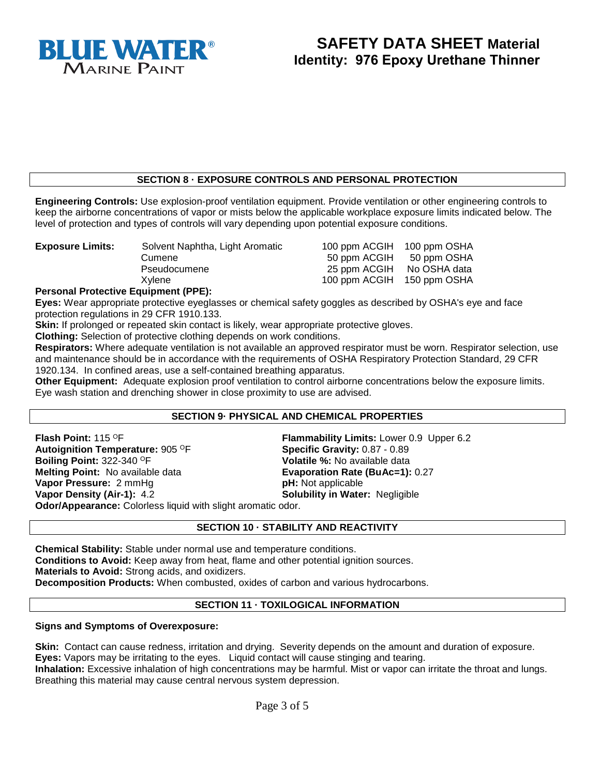

### **SECTION 8 · EXPOSURE CONTROLS AND PERSONAL PROTECTION**

**Engineering Controls:** Use explosion-proof ventilation equipment. Provide ventilation or other engineering controls to keep the airborne concentrations of vapor or mists below the applicable workplace exposure limits indicated below. The level of protection and types of controls will vary depending upon potential exposure conditions.

| <b>Exposure Limits:</b> | Solvent Naphtha, Light Aromatic | 100 ppm ACGIH 100 ppm OSHA |  |
|-------------------------|---------------------------------|----------------------------|--|
|                         | Cumene                          | 50 ppm ACGIH 50 ppm OSHA   |  |
|                         | Pseudocumene                    | 25 ppm ACGIH No OSHA data  |  |
|                         | Xylene                          | 100 ppm ACGIH 150 ppm OSHA |  |

#### **Personal Protective Equipment (PPE):**

**Eyes:** Wear appropriate protective eyeglasses or chemical safety goggles as described by OSHA's eye and face protection regulations in 29 CFR 1910.133.

**Skin:** If prolonged or repeated skin contact is likely, wear appropriate protective gloves.

**Clothing:** Selection of protective clothing depends on work conditions.

**Respirators:** Where adequate ventilation is not available an approved respirator must be worn. Respirator selection, use and maintenance should be in accordance with the requirements of OSHA Respiratory Protection Standard, 29 CFR 1920.134. In confined areas, use a self-contained breathing apparatus.

**Other Equipment:** Adequate explosion proof ventilation to control airborne concentrations below the exposure limits. Eye wash station and drenching shower in close proximity to use are advised.

#### **SECTION 9· PHYSICAL AND CHEMICAL PROPERTIES**

**Flash Point:** 115 <sup>O</sup>F **Flammability Limits:** Lower 0.9 Upper 6.2 **Flammability Limits:** Lower 0.9 Upper 6.2 **Autoignition Temperature:** 905 <sup>O</sup>F **Flammability Gravity:** 0.87 - 0.89 **Autoignition Temperature:** 905 <sup>O</sup>F<br>**Boiling Point:** 322-340 <sup>O</sup>F **Melting Point:** No available data **Evaporation Rate (BuAc=1):** 0.27 **Vapor Pressure:** 2 mmHg **Vapor Pressure:** 2 mmHg<br>**Vapor Density (Air-1):** 4.2

**Volatile %: No available data Solubility in Water: Negligible** 

**Odor/Appearance:** Colorless liquid with slight aromatic odor.

#### **SECTION 10 · STABILITY AND REACTIVITY**

**Chemical Stability:** Stable under normal use and temperature conditions. **Conditions to Avoid:** Keep away from heat, flame and other potential ignition sources. **Materials to Avoid:** Strong acids, and oxidizers. **Decomposition Products:** When combusted, oxides of carbon and various hydrocarbons.

#### **SECTION 11 · TOXILOGICAL INFORMATION**

#### **Signs and Symptoms of Overexposure:**

**Skin:** Contact can cause redness, irritation and drying. Severity depends on the amount and duration of exposure. **Eyes:** Vapors may be irritating to the eyes. Liquid contact will cause stinging and tearing.

**Inhalation:** Excessive inhalation of high concentrations may be harmful. Mist or vapor can irritate the throat and lungs. Breathing this material may cause central nervous system depression.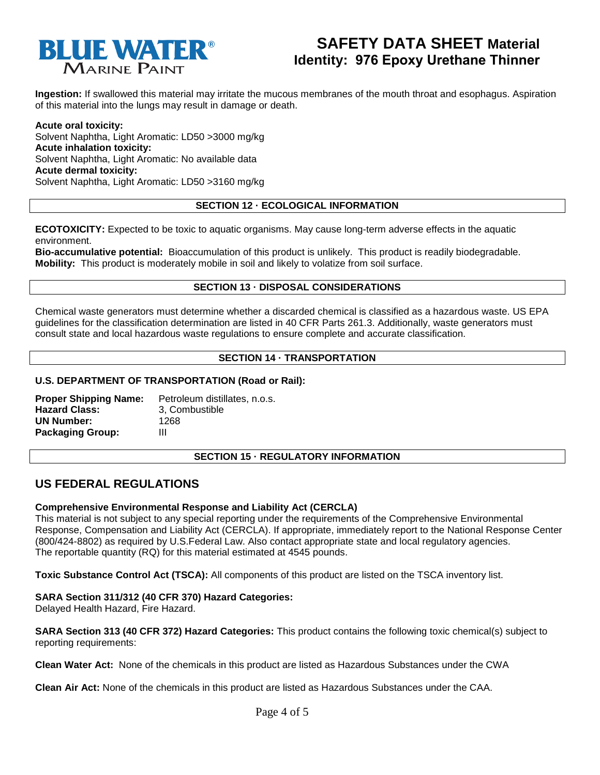

**Ingestion:** If swallowed this material may irritate the mucous membranes of the mouth throat and esophagus. Aspiration of this material into the lungs may result in damage or death.

**Acute oral toxicity:** Solvent Naphtha, Light Aromatic: LD50 >3000 mg/kg **Acute inhalation toxicity:** Solvent Naphtha, Light Aromatic: No available data **Acute dermal toxicity:** Solvent Naphtha, Light Aromatic: LD50 >3160 mg/kg

#### **SECTION 12 · ECOLOGICAL INFORMATION**

**ECOTOXICITY:** Expected to be toxic to aquatic organisms. May cause long-term adverse effects in the aquatic environment.

**Bio-accumulative potential:** Bioaccumulation of this product is unlikely. This product is readily biodegradable. **Mobility:** This product is moderately mobile in soil and likely to volatize from soil surface.

#### **SECTION 13 · DISPOSAL CONSIDERATIONS**

Chemical waste generators must determine whether a discarded chemical is classified as a hazardous waste. US EPA guidelines for the classification determination are listed in 40 CFR Parts 261.3. Additionally, waste generators must consult state and local hazardous waste regulations to ensure complete and accurate classification.

#### **SECTION 14 · TRANSPORTATION**

#### **U.S. DEPARTMENT OF TRANSPORTATION (Road or Rail):**

| <b>Proper Shipping Name:</b> | Petroleum distillates, n.o.s. |
|------------------------------|-------------------------------|
| <b>Hazard Class:</b>         | 3. Combustible                |
| <b>UN Number:</b>            | 1268                          |
| <b>Packaging Group:</b>      | Ш                             |

#### **SECTION 15 · REGULATORY INFORMATION**

### **US FEDERAL REGULATIONS**

#### **Comprehensive Environmental Response and Liability Act (CERCLA)**

This material is not subject to any special reporting under the requirements of the Comprehensive Environmental Response, Compensation and Liability Act (CERCLA). If appropriate, immediately report to the National Response Center (800/424-8802) as required by U.S.Federal Law. Also contact appropriate state and local regulatory agencies. The reportable quantity (RQ) for this material estimated at 4545 pounds.

**Toxic Substance Control Act (TSCA):** All components of this product are listed on the TSCA inventory list.

#### **SARA Section 311/312 (40 CFR 370) Hazard Categories:**

Delayed Health Hazard, Fire Hazard.

**SARA Section 313 (40 CFR 372) Hazard Categories:** This product contains the following toxic chemical(s) subject to reporting requirements:

**Clean Water Act:** None of the chemicals in this product are listed as Hazardous Substances under the CWA

**Clean Air Act:** None of the chemicals in this product are listed as Hazardous Substances under the CAA.